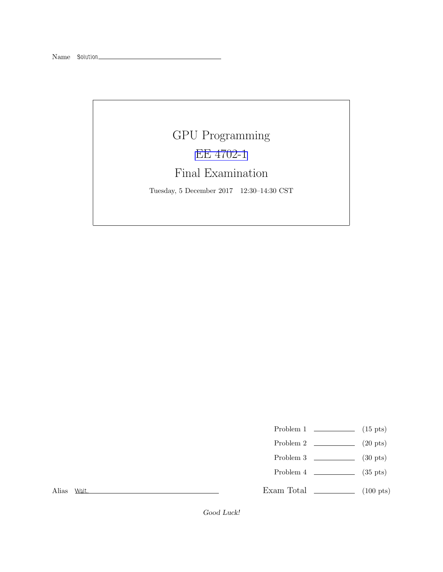## GPU Programming [EE 4702-1](http://www.ece.lsu.edu/koppel/gpup/) Final Examination

Tuesday, 5 December 2017 12:30–14:30 CST

- Problem 1  $\qquad \qquad$  (15 pts)
- Problem 2  $\qquad \qquad (20 \text{ pts})$
- Problem 3  $\qquad \qquad$  (30 pts)
- Problem  $4$  (35 pts)

Exam Total \_\_\_\_\_\_\_\_\_\_\_\_\_ (100 pts)

Alias Wait.

Good Luck!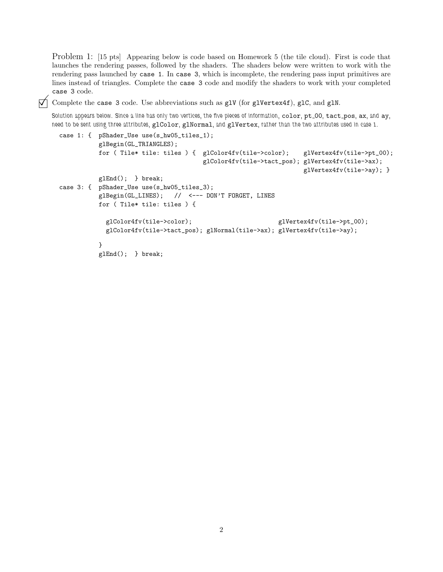Problem 1: [15 pts] Appearing below is code based on Homework 5 (the tile cloud). First is code that launches the rendering passes, followed by the shaders. The shaders below were written to work with the rendering pass launched by case 1. In case 3, which is incomplete, the rendering pass input primitives are lines instead of triangles. Complete the case 3 code and modify the shaders to work with your completed case 3 code.

 $\overrightarrow{V}$  Complete the case 3 code. Use abbreviations such as glV (for glVertex4f), glC, and glN.

Solution appears below. Since a line has only two vertices, the five pieces of information, color, pt 00, tact pos, ax, and ay, need to be sent using three attributes, glColor, glNormal, and glVertex, rather than the two attributes used in case 1.

```
case 1: { pShader_Use use(s_hw05_tiles_1);
          glBegin(GL_TRIANGLES);
          for ( Tile* tile: tiles ) { glColor4fv(tile->color); glVertex4fv(tile->pt_00);
                                     glColor4fv(tile->tact_pos); glVertex4fv(tile->ax);
                                                                glVertex4fv(tile->ay); }
          glEnd(); } break;
case 3: { pShader_Use use(s_hw05_tiles_3);
          glBegin(GL_LINES); // <--- DON'T FORGET, LINES
          for ( Tile* tile: tiles ) {
            glColor4fv(tile->color); glVertex4fv(tile->pt_00);
            glColor4fv(tile->tact_pos); glNormal(tile->ax); glVertex4fv(tile->ay);
          }
          glEnd(); } break;
```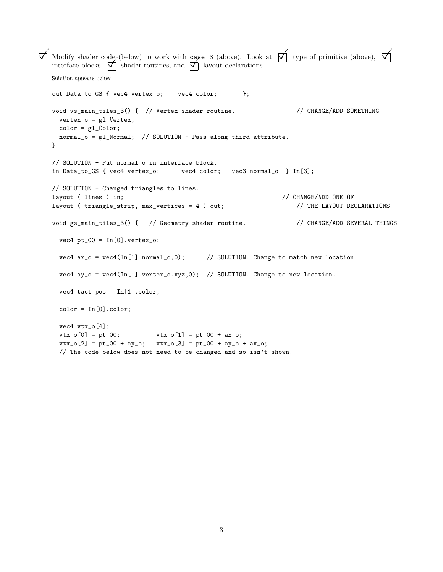```
\overrightarrow{\bigwedge} Modify shader code (below) to work with case 3 (above). Look at \overrightarrow{\bigwedge} type of primitive (above), \overrightarrow{\bigwedge}Modify shader code (below) to work with case 3 (above). Look interface blocks, \bigwedge shader routines, and \bigwedge layout declarations.
   Solution appears below.
   out Data_to_GS { vec4 vertex_o; vec4 color; };
   void vs_main_tiles_3() { // Vertex shader routine. // CHANGE/ADD SOMETHING
     vertex_o = gl_Vertex;
     color = gl_Color;
     normal_o = gl_Normal; // SOLUTION - Pass along third attribute.
   }
   // SOLUTION - Put normal_o in interface block.
   in Data_to_GS { vec4 vertex_o; vec4 color; vec3 normal_o } In[3];
   // SOLUTION - Changed triangles to lines.
   layout ( lines ) in; \sqrt{2} // CHANGE/ADD ONE OF
   layout ( triangle_strip, max_vertices = 4 ) out; // THE LAYOUT DECLARATIONS
   void gs_main_tiles_3() { // Geometry shader routine. // CHANGE/ADD SEVERAL THINGS
     vec4 pt_00 = In[0].vertex_0;vec4 ax_0 = vec4(In[1].normal<sub>0</sub>,0); // SOLUTION. Change to match new location.
     vec4 ay_0 = vec4(In[1].vertex_0.xyz,0); // SOLUTION. Change to new location.
     vec4 tact_pos = In[1].color;
     color = In[0].color;vec4 vtx_o[4];
     vtx_0[0] = pt_00; vtx_0[1] = pt_00 + ax_0;vtx_o[2] = pt_00 + ay_o; \quad vtx_o[3] = pt_00 + ay_o;// The code below does not need to be changed and so isn't shown.
```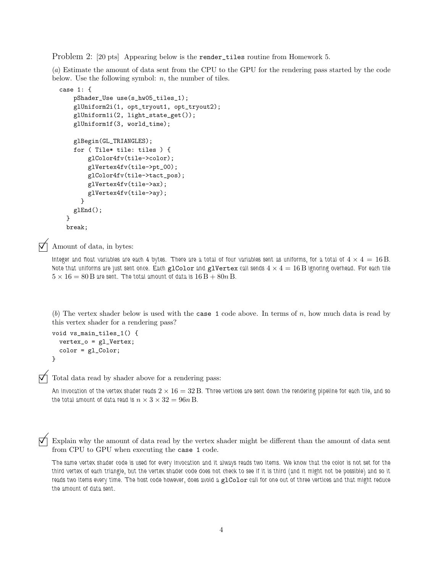Problem 2: [20 pts] Appearing below is the render\_tiles routine from Homework 5.

(a) Estimate the amount of data sent from the CPU to the GPU for the rendering pass started by the code below. Use the following symbol:  $n$ , the number of tiles.

```
case 1: {
   pShader_Use use(s_hw05_tiles_1);
    glUniform2i(1, opt_tryout1, opt_tryout2);
    glUniform1i(2, light_state_get());
    glUniform1f(3, world_time);
    glBegin(GL_TRIANGLES);
    for ( Tile* tile: tiles ) {
        glColor4fv(tile->color);
        glVertex4fv(tile->pt_00);
        glColor4fv(tile->tact_pos);
        glVertex4fv(tile->ax);
       glVertex4fv(tile->ay);
     }
   glEnd();
  }
  break;
```
Amount of data, in bytes:

Integer and float variables are each 4 bytes. There are a total of four variables sent as uniforms, for a total of  $4 \times 4 = 16$  B. Note that uniforms are just sent once. Each glColor and glVertex call sends  $4 \times 4 = 16$  B ignoring overhead. For each tile  $5 \times 16 = 80$  B are sent. The total amount of data is  $16B + 80n$  B.

(b) The vertex shader below is used with the case 1 code above. In terms of  $n$ , how much data is read by this vertex shader for a rendering pass?

```
void vs_main_tiles_1() {
  vertex_o = gl_Vertex;
  color = gl_Color;
}
```
 $\overrightarrow{\mathsf{M}}$  Total data read by shader above for a rendering pass:

An invocation of the vertex shader reads  $2 \times 16 = 32$  B. Three vertices are sent down the rendering pipeline for each tile, and so the total amount of data read is  $n \times 3 \times 32 = 96n$  B.

 $\nabla$  Explain why the amount of data read by the vertex shader might be different than the amount of data sent from CPU to GPU when executing the case 1 code.

The same vertex shader code is used for every invocation and it always reads two items. We know that the color is not set for the third vertex of each triangle, but the vertex shader code does not check to see if it is third (and it might not be possible) and so it reads two items every time. The host code however, does avoid a glColor call for one out of three vertices and that might reduce the amount of data sent.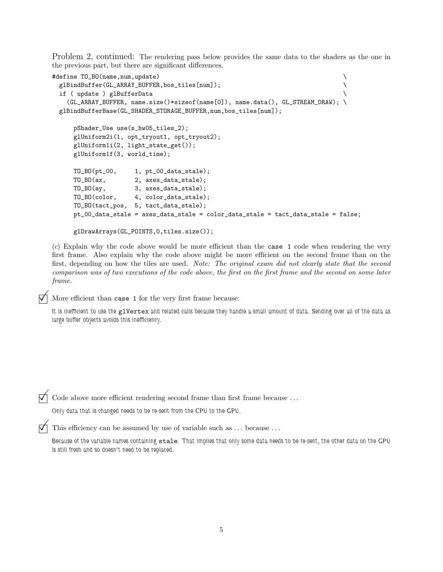Problem 2, continued: The rendering pass below provides the same data to the shaders as the one in the previous part, but there are significant differences.

```
#define TO_BO(name,num,update)
 glBindBuffer(GL_ARRAY_BUFFER,bos_tiles[num]);
 if ( update ) glBufferData \
   (GL_ARRAY_BUFFER, name.size()*sizeof(name[0]), name.data(), GL_STREAM_DRAW); \
 glBindBufferBase(GL_SHADER_STORAGE_BUFFER,num,bos_tiles[num]);
     pShader_Use use(s_hw05_tiles_2);
     glUniform2i(1, opt_tryout1, opt_tryout2);
     glUniform1i(2, light_state_get());
     glUniform1f(3, world_time);
     TO_BO(pt_00, 1, pt_00_data_stale);
     TO_BO(ax, 2, axes_data_stale);
     TO_BO(ay, 3, axes_data_stale);
     TO_BO(color, 4, color_data_stale);
     TO_BO(tact_pos, 5, tact_data_stale);
     pt_00_data_stale = axes_data_stale = color_data_stale = tact_data_stale = false;
```

```
glDrawArrays(GL_POINTS,0,tiles.size());
```
(c) Explain why the code above would be more efficient than the case 1 code when rendering the very first frame. Also explain why the code above might be more efficient on the second frame than on the first, depending on how the tiles are used. Note: The original exam did not clearly state that the second comparison was of two executions of the code above, the first on the first frame and the second on some later frame.

More efficient than case 1 for the very first frame because:

It is inefficient to use the glVertex and related calls because they handle a small amount of data. Sending over all of the data as large buffer objects avoids this inefficiency.

 $\vec{\nabla}$  Code above more efficient rendering second frame than first frame because ...

Only data that is changed needs to be re-sent from the CPU to the GPU.

This efficiency can be assumed by use of variable such as  $\dots$  because  $\dots$ 

Because of the variable names containing stale. That implies that only some data needs to be re-sent, the other data on the GPU is still fresh and so doesn't need to be replaced.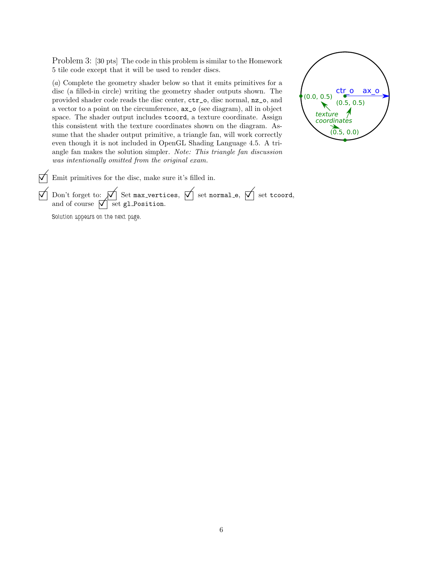Problem 3: [30 pts] The code in this problem is similar to the Homework 5 tile code except that it will be used to render discs.

(a) Complete the geometry shader below so that it emits primitives for a disc (a filled-in circle) writing the geometry shader outputs shown. The provided shader code reads the disc center, ctr\_o, disc normal, nz\_o, and a vector to a point on the circumference, ax\_o (see diagram), all in object space. The shader output includes tcoord, a texture coordinate. Assign this consistent with the texture coordinates shown on the diagram. Assume that the shader output primitive, a triangle fan, will work correctly even though it is not included in OpenGL Shading Language 4.5. A triangle fan makes the solution simpler. Note: This triangle fan discussion was intentionally omitted from the original exam.



 $\overrightarrow{\bigtriangledown}$  Emit primitives for the disc, make sure it's filled in.

 $\overline{\mathcal{M}}$  Don't forget to:  $\overline{\mathcal{M}}$  Set max\_vertices,  $\overline{\mathcal{M}}$  set normal\_e,  $\overline{\mathcal{M}}$  set tcoord, Don't forget to:  $\overline{\bigvee}$  Set max\_vertiand of course  $\overline{\bigvee}$  set gl\_Position.

Solution appears on the next page.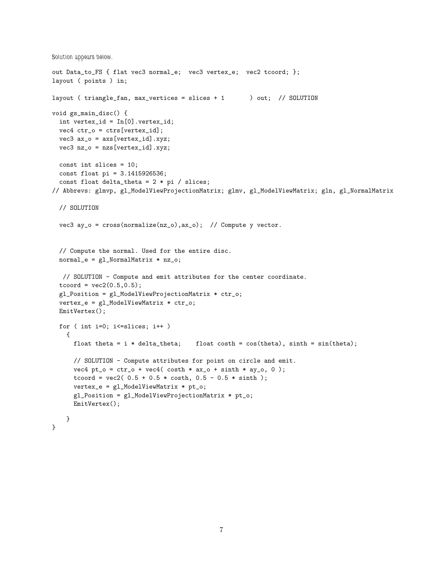```
Solution appears below.
out Data_to_FS { flat vec3 normal_e; vec3 vertex_e; vec2 tcoord; };
layout ( points ) in;
layout ( triangle_fan, max_vertices = slices + 1 ) out; // SOLUTION
void gs_main_disc() {
  int vertex_id = In[0].vertex_id;
 vec4 ctr_o = ctrs[vertex_id];
 vec3 ax_0 = axis[vertex_id].xyz;vec3 nz_o = nzs[vertex_id].xyz;
 const int slices = 10;
 const float pi = 3.1415926536;
  const float delta_theta = 2 * pi / silces;// Abbrevs: glmvp, gl_ModelViewProjectionMatrix; glmv, gl_ModelViewMatrix; gln, gl_NormalMatrix
  // SOLUTION
  vec3 ay_o = cross(normalize(nz_o), ax_o); // Compute y vector.
  // Compute the normal. Used for the entire disc.
 normal_e = gl_NormalMatrix * nz_o;// SOLUTION - Compute and emit attributes for the center coordinate.
  toord = vec2(0.5, 0.5);
  gl_Position = gl_ModelViewProjectionMatrix * ctr_o;
  vertex_e = gl_ModelViewMatrix * ctr_o;
 EmitVertex();
 for ( int i=0; i<=slices; i++ )
   {
     float theta = i * delta_{i}; float costh = cos(theta), sinth = sin(theta);
      // SOLUTION - Compute attributes for point on circle and emit.
      vec4 pt_o = ctr_o + vec4( costh * ax_o + sinh * ay_o, 0);tcoord = vec2(0.5 + 0.5 * \cosh, 0.5 - 0.5 * \sinth);
     vertex_e = gl_ModelViewMatrix * pt_o;
      gl_Position = gl_ModelViewProjectionMatrix * pt_o;
     EmitVertex();
   }
}
```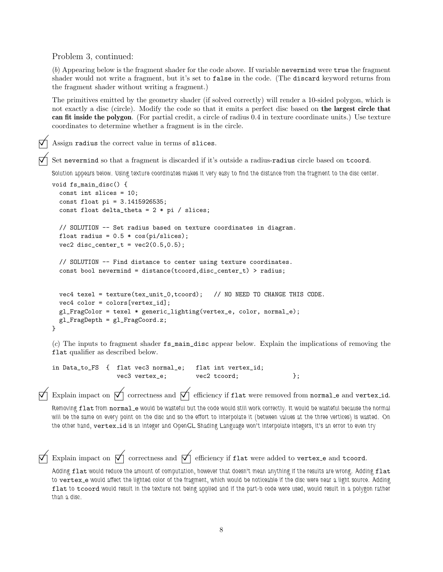Problem 3, continued:

(b) Appearing below is the fragment shader for the code above. If variable nevermind were true the fragment shader would not write a fragment, but it's set to false in the code. (The discard keyword returns from the fragment shader without writing a fragment.)

The primitives emitted by the geometry shader (if solved correctly) will render a 10-sided polygon, which is not exactly a disc (circle). Modify the code so that it emits a perfect disc based on the largest circle that can fit inside the polygon. (For partial credit, a circle of radius 0.4 in texture coordinate units.) Use texture coordinates to determine whether a fragment is in the circle.

Assign radius the correct value in terms of slices.

Set nevermind so that a fragment is discarded if it's outside a radius-radius circle based on tcoord.

Solution appears below. Using texture coordinates makes it very easy to find the distance from the fragment to the disc center.

```
void fs_main_disc() {
  const int slices = 10;
  const float pi = 3.1415926535;
  const float delta_theta = 2 * pi / slices;
  // SOLUTION -- Set radius based on texture coordinates in diagram.
  float radius = 0.5 * cos(pi/slices);
 vec2 disc_center_t = vec2(0.5, 0.5);
  // SOLUTION -- Find distance to center using texture coordinates.
  const bool nevermind = distance(tcoord,disc_center_t) > radius;
 vec4 texel = texture(tex_unit_0,tcoord); // NO NEED TO CHANGE THIS CODE.
  vec4 color = colors[vertex_id];
  gl_FragColor = texel * generic_lighting(vertex_e, color, normal_e);
 gl_FragDepth = gl_FragCoord.z;
}
```
(c) The inputs to fragment shader fs\_main\_disc appear below. Explain the implications of removing the flat qualifier as described below.

in Data\_to\_FS { flat vec3 normal\_e; flat int vertex\_id; vec3 vertex\_e; vec2 tcoord; };

Explain impact on  $\overrightarrow{\mathsf{M}}$  correctness and  $\overrightarrow{\mathsf{M}}$  efficiency if flat were removed from normal e and vertex id. Removing flat from normal\_e would be wasteful but the code would still work correctly. It would be wasteful because the normal will be the same on every point on the disc and so the effort to interpolate it (between values at the three vertices) is wasted. On

```
the other hand, vertex_id is an integer and OpenGL Shading Language won't interpolate integers, it's an error to even try
Explain impact on \overrightarrow{\nabla} correctness and \overrightarrow{\nabla} efficiency if flat were added to vertex e and tcoord.
Adding flat would reduce the amount of computation, however that doesn't mean anything if the results are wrong. Adding flat
```
to vertex\_e would affect the lighted color of the fragment, which would be noticeable if the disc were near a light source. Adding flat to tcoord would result in the texture not being applied and if the part-b code were used, would result in a polygon rather than a disc.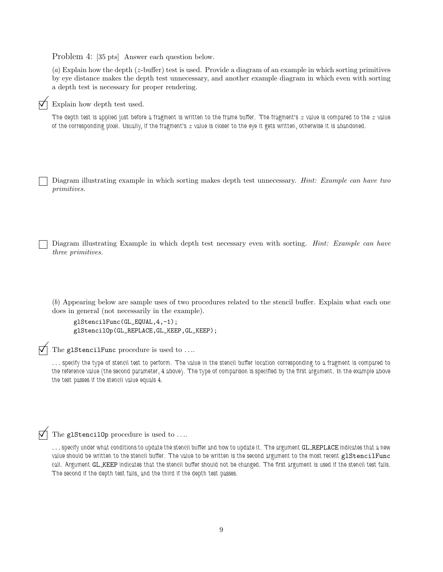Problem 4: [35 pts] Answer each question below.

(a) Explain how the depth (z-buffer) test is used. Provide a diagram of an example in which sorting primitives by eye distance makes the depth test unnecessary, and another example diagram in which even with sorting a depth test is necessary for proper rendering.

## $\nabla$  Explain how depth test used.

The depth test is applied just before a fragment is written to the frame buffer. The fragment's  $z$  value is compared to the  $z$  value of the corresponding pixel. Usually, if the fragment's  $z$  value is closer to the eye it gets written, otherwise it is abandoned.

Diagram illustrating example in which sorting makes depth test unnecessary. *Hint: Example can have two* primitives.

Diagram illustrating Example in which depth test necessary even with sorting. *Hint: Example can have* three primitives.

(b) Appearing below are sample uses of two procedures related to the stencil buffer. Explain what each one does in general (not necessarily in the example).

```
glStencilFunc(GL_EQUAL,4,-1);
glStencilOp(GL_REPLACE,GL_KEEP,GL_KEEP);
```
 $\Box$  The glStencilFunc procedure is used to ....

... specify the type of stencil test to perform. The value in the stencil buffer location corresponding to a fragment is compared to the reference value (the second parameter, 4 above). The type of comparison is specified by the first argument. In the example above the test passes if the stencil value equals 4.

 $\overrightarrow{\bigtriangledown}$  The glStencil<sub>Op</sub> procedure is used to ....

... specify under what conditions to update the stencil buffer and how to update it. The argument GL\_REPLACE indicates that a new value should be written to the stencil buffer. The value to be written is the second argument to the most recent glStencilFunc call. Argument GL KEEP indicates that the stencil buffer should not be changed. The first argument is used if the stencil test fails. The second if the depth test fails, and the third if the depth test passes.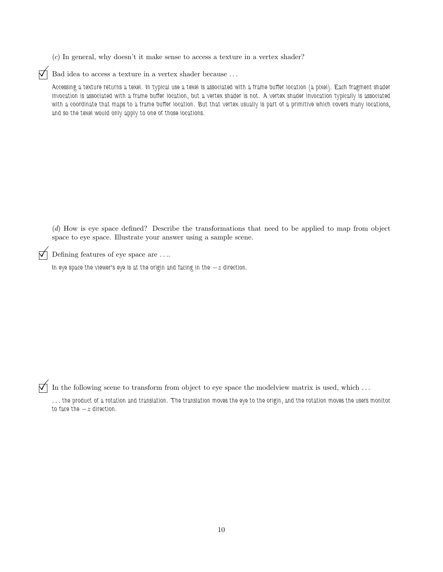(c) In general, why doesn't it make sense to access a texture in a vertex shader?

 $\overrightarrow{\bigtriangledown}$  Bad idea to access a texture in a vertex shader because ...

Accessing a texture returns a texel. In typical use a texel is associated with a frame buffer location (a pixel). Each fragment shader invocation is associated with a frame buffer location, but a vertex shader is not. A vertex shader invocation typically is associated with a coordinate that maps to a frame buffer location. But that vertex usually is part of a primitive which covers many locations, and so the texel would only apply to one of those locations.

(d) How is eye space defined? Describe the transformations that need to be applied to map from object space to eye space. Illustrate your answer using a sample scene.

 $\triangledown$  Defining features of eye space are ....

In eye space the viewer's eye is at the origin and facing in the  $-z$  direction.

 $\mathcal{V}$  In the following scene to transform from object to eye space the modelview matrix is used, which ...

. . . the product of a rotation and translation. The translation moves the eye to the origin, and the rotation moves the users monitor to face the  $-z$  direction.